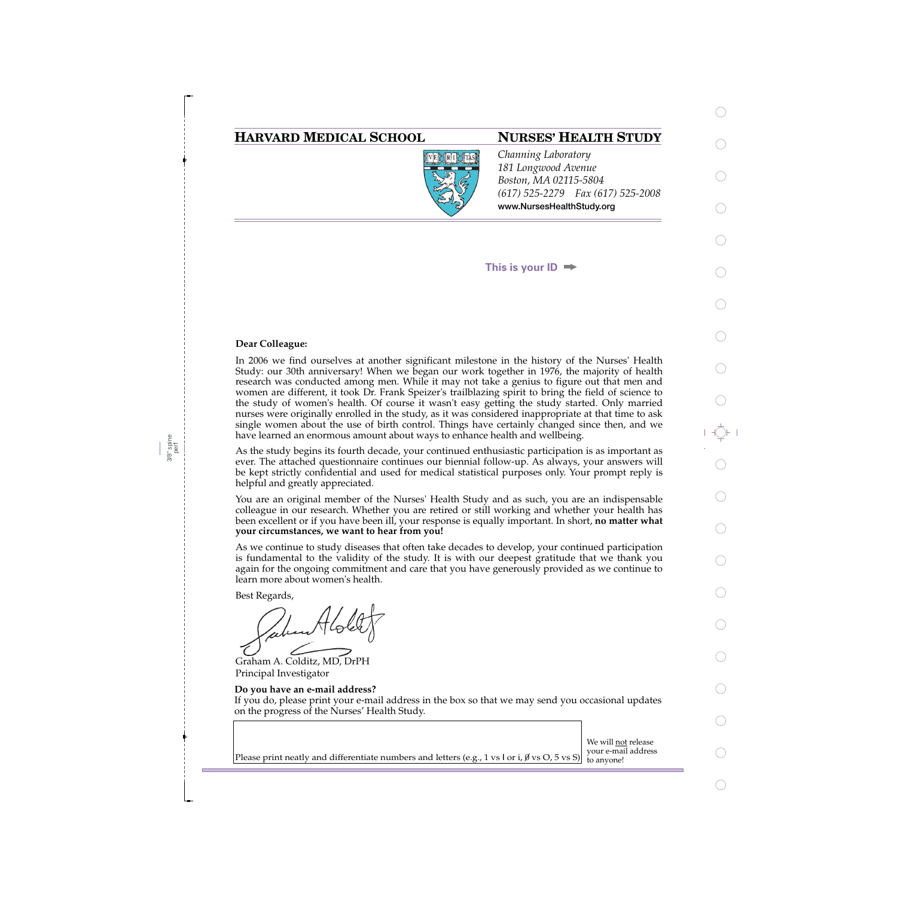## **HARVARD MEDICAL SCHOOL NURSES' HEALTH STUDY**



*Channing Laboratory 181 Longwood Avenue Boston, MA 02115-5804 (617) 525-2279 Fax (617) 525-2008*  **www.NursesHealthStudy.org** 

**This is your ID**

### **Dear Colleague:**

3/8" spine perf In 2006 we find ourselves at another significant milestone in the history of the Nurses' Health Study: our 30th anniversary! When we began our work together in 1976, the majority of health research was conducted among men. While it may not take a genius to figure out that men and women are different, it took Dr. Frank Speizer's trailblazing spirit to bring the field of science to the study of women's health. Of course it wasn't easy getting the study started. Only married nurses were originally enrolled in the study, as it was considered inappropriate at that time to ask single women about the use of birth control. Things have certainly changed since then, and we have learned an enormous amount about ways to enhance health and wellbeing.

As the study begins its fourth decade, your continued enthusiastic participation is as important as ever. The attached questionnaire continues our biennial follow-up. As always, your answers will be kept strictly confidential and used for medical statistical purposes only. Your prompt reply is helpful and greatly appreciated.

You are an original member of the Nurses' Health Study and as such, you are an indispensable colleague in our research. Whether you are retired or still working and whether your health has been excellent or if you have been ill, your response is equally important. In short, **no matter what your circumstances, we want to hear from you!**

As we continue to study diseases that often take decades to develop, your continued participation is fundamental to the validity of the study. It is with our deepest gratitude that we thank you again for the ongoing commitment and care that you have generously provided as we continue to learn more about women's health.

Best Regards,

Graham A. Colditz, MD, DrPH Principal Investigator

### **Do you have an e-mail address?**

If you do, please print your e-mail address in the box so that we may send you occasional updates on the progress of the Nurses' Health Study.

Please print neatly and differentiate numbers and letters (e.g., 1 vs I or i,  $\emptyset$  vs O, 5 vs S) to anyone!

We will not release your e-mail address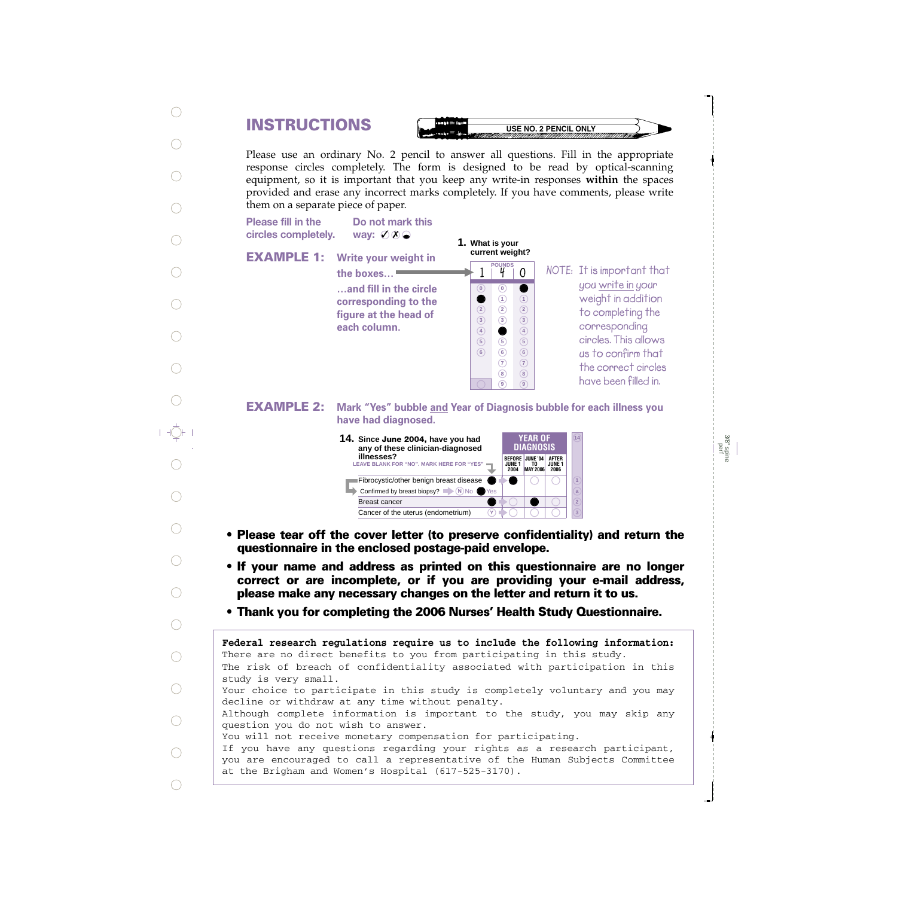# **INSTRUCTIONS**

**USE NO. 2 PENCIL ONLY** 

Please use an ordinary No. 2 pencil to answer all questions. Fill in the appropriate response circles completely. The form is designed to be read by optical-scanning equipment, so it is important that you keep any write-in responses **within** the spaces provided and erase any incorrect marks completely. If you have comments, please write them on a separate piece of paper.

**Please fill in the** circles completely.

way:  $\emptyset$   $\emptyset$   $\odot$ 

**Do not mark this**

**EXAMPLE 1: Write your weight in** 

| Write your weight in                          | rre                 |
|-----------------------------------------------|---------------------|
| the boxes                                     |                     |
| and fill in the circle                        | $\bf{0}$            |
| corresponding to the<br>figure at the head of | $\overline{2}$      |
| each column.                                  | 3<br>$\overline{4}$ |
|                                               | 5                   |
|                                               |                     |

**1. What is your current weight?**

> **7 8 9**

**7 8 9**

**140**

**NOTE: POUNDS It is important that you write in your weight in addition to completing the corresponding circles. This allows us to confirm that the correct circles have been filled in.**

**EXAMPLE 2:** Mark "Yes" bubble <u>and</u> Year of Diagnosis bubble for each illness you **have had diagnosed.**



- **Please tear off the cover letter (to preserve confidentiality) and return the questionnaire in the enclosed postage-paid envelope.**
- **If your name and address as printed on this questionnaire are no longer correct or are incomplete, or if you are providing your e-mail address, please make any necessary changes on the letter and return it to us.**
- **Thank you for completing the 2006 Nurses' Health Study Questionnaire.**

The risk of breach of confidentiality associated with participation in this study is very small. Your choice to participate in this study is completely voluntary and you may decline or withdraw at any time without penalty. Although complete information is important to the study, you may skip any question you do not wish to answer. You will not receive monetary compensation for participating. If you have any questions regarding your rights as a research participant, you are encouraged to call a representative of the Human Subjects Committee at the Brigham and Women's Hospital (617-525-3170). **Federal research regulations require us to include the following information:** There are no direct benefits to you from participating in this study.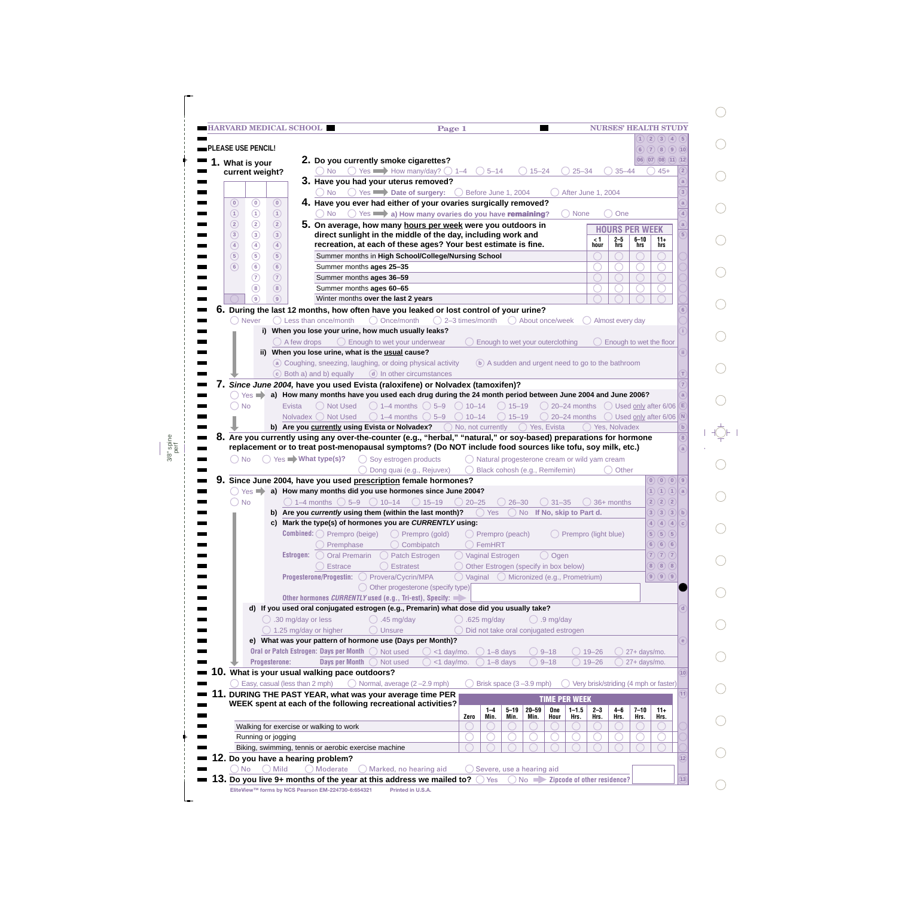|                                |                                | <b>HARVARD MEDICAL SCHOOL</b>    |             |                                                                                                                                                                                                                                 |                       |                                         |                                              | Page 1                                                                                         |                                                         |                                |                   |                              |                      |                        |                  | <b>NURSES' HEALTH STUDY</b> | $\left( 2\right)$                                                                                                  |                 |
|--------------------------------|--------------------------------|----------------------------------|-------------|---------------------------------------------------------------------------------------------------------------------------------------------------------------------------------------------------------------------------------|-----------------------|-----------------------------------------|----------------------------------------------|------------------------------------------------------------------------------------------------|---------------------------------------------------------|--------------------------------|-------------------|------------------------------|----------------------|------------------------|------------------|-----------------------------|--------------------------------------------------------------------------------------------------------------------|-----------------|
|                                | PLEASE USE PENCIL!             |                                  |             |                                                                                                                                                                                                                                 |                       |                                         |                                              |                                                                                                |                                                         |                                |                   |                              |                      |                        |                  |                             | $\overline{3}$<br>(6)(7)(8)(9)(10)                                                                                 | (4)(5)          |
|                                | 1. What is your                |                                  |             | 2. Do you currently smoke cigarettes?                                                                                                                                                                                           |                       |                                         |                                              |                                                                                                |                                                         |                                |                   |                              |                      |                        |                  |                             | (06)(07)(08)(11)(12)                                                                                               |                 |
|                                | current weight?                |                                  |             | $()$ No                                                                                                                                                                                                                         |                       |                                         |                                              | $\circ$ Yes $\rightarrow$ How many/day? $\circ$ 1–4 $\circ$ 5–14                               |                                                         |                                | $15 - 24$         |                              | $25 - 34$            |                        | $35 - 44$        |                             | $45+$                                                                                                              |                 |
|                                |                                |                                  |             | 3. Have you had your uterus removed?                                                                                                                                                                                            |                       |                                         |                                              |                                                                                                |                                                         |                                |                   |                              |                      |                        |                  |                             |                                                                                                                    |                 |
|                                |                                |                                  |             | ◯ No ◯ Yes Date of surgery: ◯ Before June 1, 2004                                                                                                                                                                               |                       |                                         |                                              |                                                                                                |                                                         |                                |                   |                              | After June 1, 2004   |                        |                  |                             |                                                                                                                    |                 |
| $\circledcirc$                 | $\circledcirc$                 | $\circled{0}$                    |             | 4. Have you ever had either of your ovaries surgically removed?                                                                                                                                                                 |                       |                                         |                                              |                                                                                                |                                                         |                                |                   |                              |                      |                        |                  |                             |                                                                                                                    |                 |
| $^{\circ}$                     | $\odot$                        | $\odot$                          |             | $\bigcirc$ No $\bigcirc$ Yes $\longrightarrow$ a) How many ovaries do you have remaining?                                                                                                                                       |                       |                                         |                                              |                                                                                                |                                                         |                                |                   |                              | $\bigcirc$ None      |                        | One              |                             |                                                                                                                    |                 |
| $\circled{2}$<br>$\circled{3}$ | $\circled{2}$<br>$\circled{3}$ | $\circled{2}$<br>$\circled{3}$   |             | 5. On average, how many hours per week were you outdoors in<br>direct sunlight in the middle of the day, including work and                                                                                                     |                       |                                         |                                              |                                                                                                |                                                         |                                |                   |                              |                      |                        |                  | <b>HOURS PER WEEK</b>       |                                                                                                                    | $\overline{5}$  |
| $\circled{4}$                  | $\circled{4}$                  | $\circled{4}$                    |             | recreation, at each of these ages? Your best estimate is fine.                                                                                                                                                                  |                       |                                         |                                              |                                                                                                |                                                         |                                |                   |                              |                      | $1$ hour               | $2-5$<br>hrs     | $6 - 10$<br>hrs             | $11+$<br>hrs                                                                                                       |                 |
| $\circled{5}$                  | $\circled{5}$                  | $\circled{5}$                    |             | Summer months in High School/College/Nursing School                                                                                                                                                                             |                       |                                         |                                              |                                                                                                |                                                         |                                |                   |                              |                      |                        |                  |                             |                                                                                                                    |                 |
| $\circled{6}$                  | $\circledcirc$                 | $\circled{6}$                    |             | Summer months ages 25-35                                                                                                                                                                                                        |                       |                                         |                                              |                                                                                                |                                                         |                                |                   |                              |                      |                        |                  |                             |                                                                                                                    |                 |
|                                | $\circled7$                    | $\circled{7}$                    |             | Summer months ages 36-59                                                                                                                                                                                                        |                       |                                         |                                              |                                                                                                |                                                         |                                |                   |                              |                      |                        |                  |                             |                                                                                                                    |                 |
|                                | $\circledast$                  | (8)                              |             | Summer months ages 60-65                                                                                                                                                                                                        |                       |                                         |                                              |                                                                                                |                                                         |                                |                   |                              |                      |                        |                  |                             |                                                                                                                    |                 |
|                                | ⊚                              | $\circledcirc$                   |             | Winter months over the last 2 years                                                                                                                                                                                             |                       |                                         |                                              |                                                                                                |                                                         |                                |                   |                              |                      |                        |                  |                             |                                                                                                                    |                 |
| $($ )                          | <b>Never</b>                   |                                  |             | 6. During the last 12 months, how often have you leaked or lost control of your urine?<br>$\bigcirc$ Less than once/month                                                                                                       | $\bigcirc$ Once/month |                                         |                                              | $\bigcirc$ 2-3 times/month                                                                     |                                                         |                                |                   | ◯ About once/week            |                      |                        |                  |                             |                                                                                                                    |                 |
|                                |                                |                                  |             | i) When you lose your urine, how much usually leaks?                                                                                                                                                                            |                       |                                         |                                              |                                                                                                |                                                         |                                |                   |                              |                      |                        | Almost every day |                             |                                                                                                                    |                 |
|                                |                                | $\bigcirc$ A few drops           |             |                                                                                                                                                                                                                                 |                       | $\bigcirc$ Enough to wet your underwear |                                              |                                                                                                | Enough to wet your outerclothing                        |                                |                   |                              |                      |                        |                  |                             | Enough to wet the floor                                                                                            |                 |
|                                |                                |                                  |             | ii) When you lose urine, what is the usual cause?                                                                                                                                                                               |                       |                                         |                                              |                                                                                                |                                                         |                                |                   |                              |                      |                        |                  |                             |                                                                                                                    |                 |
|                                |                                |                                  |             | a Coughing, sneezing, laughing, or doing physical activity                                                                                                                                                                      |                       |                                         |                                              |                                                                                                | (b) A sudden and urgent need to go to the bathroom      |                                |                   |                              |                      |                        |                  |                             |                                                                                                                    |                 |
|                                |                                |                                  |             | (c) Both a) and b) equally                                                                                                                                                                                                      |                       |                                         | d In other circumstances                     |                                                                                                |                                                         |                                |                   |                              |                      |                        |                  |                             |                                                                                                                    |                 |
|                                |                                |                                  |             | 7. Since June 2004, have you used Evista (raloxifene) or Nolvadex (tamoxifen)?                                                                                                                                                  |                       |                                         |                                              |                                                                                                |                                                         |                                |                   |                              |                      |                        |                  |                             |                                                                                                                    |                 |
|                                |                                |                                  |             | Yes <b>a)</b> How many months have you used each drug during the 24 month period between June 2004 and June 2006?                                                                                                               |                       |                                         |                                              |                                                                                                |                                                         |                                |                   |                              |                      |                        |                  |                             |                                                                                                                    |                 |
| $\Box$                         | <b>No</b>                      | Evista                           |             | ( ) Not Used<br>Nolvadex O Not Used                                                                                                                                                                                             |                       |                                         | $\bigcirc$ 1–4 months $\bigcirc$ 5–9         | $\bigcirc$ 1–4 months $\bigcirc$ 5–9 $\bigcirc$ 10–14<br>$\bigcirc$ 10–14                      |                                                         | $() 15-19$<br>$\bigcirc$ 15–19 |                   |                              |                      |                        |                  |                             | $\bigcirc$ 20–24 months $\bigcirc$ Used only after 6/06<br>$\bigcirc$ 20–24 months $\bigcirc$ Used only after 6/06 | (N)             |
|                                |                                |                                  |             |                                                                                                                                                                                                                                 |                       |                                         |                                              |                                                                                                |                                                         |                                |                   |                              |                      |                        |                  |                             |                                                                                                                    |                 |
|                                |                                |                                  |             |                                                                                                                                                                                                                                 |                       |                                         |                                              |                                                                                                |                                                         |                                |                   |                              |                      |                        |                  |                             |                                                                                                                    | $\mathbf b$     |
|                                |                                |                                  |             |                                                                                                                                                                                                                                 |                       |                                         |                                              | <b>b)</b> Are you <b>currently using Evista or Nolvadex?</b> O No, not currently O Yes, Evista |                                                         |                                |                   |                              |                      |                        | () Yes. Nolvadex |                             |                                                                                                                    |                 |
|                                |                                |                                  |             | 8. Are you currently using any over-the-counter (e.g., "herbal," "natural," or soy-based) preparations for hormone<br>replacement or to treat post-menopausal symptoms? (Do NOT include food sources like tofu, soy milk, etc.) |                       |                                         |                                              |                                                                                                |                                                         |                                |                   |                              |                      |                        |                  |                             |                                                                                                                    |                 |
| $()$ No                        |                                |                                  |             | $\bigcap$ Yes $\blacksquare$ What type(s)?                                                                                                                                                                                      |                       | $\bigcirc$ Soy estrogen products        |                                              |                                                                                                | $\bigcirc$ Natural progesterone cream or wild yam cream |                                |                   |                              |                      |                        |                  |                             |                                                                                                                    |                 |
|                                |                                |                                  |             |                                                                                                                                                                                                                                 |                       |                                         | ◯ Dong quai (e.g., Rejuvex)                  | $($ )                                                                                          | Black cohosh (e.g., Remifemin)                          |                                |                   |                              |                      |                        | Other            |                             |                                                                                                                    |                 |
|                                |                                |                                  |             | Since June 2004, have you used prescription female hormones?                                                                                                                                                                    |                       |                                         |                                              |                                                                                                |                                                         |                                |                   |                              |                      |                        |                  |                             | (0)(0)(0)(9)                                                                                                       |                 |
|                                |                                |                                  |             | ◯ Yes a) How many months did you use hormones since June 2004?                                                                                                                                                                  |                       |                                         |                                              |                                                                                                |                                                         |                                |                   |                              |                      |                        |                  |                             | $\left( \bigcap_{i=1}^n A_i \right)$                                                                               |                 |
|                                |                                |                                  |             | ◯ No $\bigcirc$ 1-4 months $\bigcirc$ 5-9 $\bigcirc$ 10-14 $\bigcirc$ 15-19 $\bigcirc$ 20-25 $\bigcirc$ 26-30 $\bigcirc$ 31-35 $\bigcirc$ 36+ months                                                                            |                       |                                         |                                              |                                                                                                |                                                         |                                |                   |                              |                      |                        |                  |                             | $2)$ $2)$ $2)$                                                                                                     |                 |
|                                |                                |                                  |             | b) Are you currently using them (within the last month)?                                                                                                                                                                        |                       |                                         |                                              |                                                                                                | () Yes                                                  |                                |                   | () No If No, skip to Part d. |                      |                        |                  |                             | (3)(3)(3)(6)                                                                                                       |                 |
|                                |                                | C)                               |             | Mark the type(s) of hormones you are CURRENTLY using:                                                                                                                                                                           |                       |                                         |                                              |                                                                                                |                                                         |                                |                   |                              |                      |                        |                  |                             | $\left( 4\right) \left( 4\right) \left( 4\right)$                                                                  | $\epsilon$      |
|                                |                                |                                  |             | <b>Combined:</b> $\bigcirc$ Prempro (beige)                                                                                                                                                                                     |                       | Combipatch                              | $\bigcirc$ Prempro (gold)                    |                                                                                                | $\bigcirc$ Prempro (peach)<br>○ FemHRT                  |                                |                   |                              | Prempro (light blue) |                        |                  |                             | (5)(5)(5)<br>6) 6) 6                                                                                               |                 |
|                                |                                |                                  | Estrogen: ( | Premphase<br><b>Oral Premarin</b>                                                                                                                                                                                               |                       | Patch Estrogen                          |                                              | ◯ Vaginal Estrogen                                                                             |                                                         |                                |                   | () Ogen                      |                      |                        |                  |                             | $\overline{7}$ $\overline{(7)}$ $\overline{(7)}$                                                                   |                 |
|                                |                                |                                  |             | Estrace                                                                                                                                                                                                                         |                       | <b>Estratest</b>                        |                                              |                                                                                                | Other Estrogen (specify in box below)                   |                                |                   |                              |                      |                        |                  |                             | (8)(8)(8)                                                                                                          |                 |
|                                |                                |                                  |             | Progesterone/Progestin:                                                                                                                                                                                                         |                       | ◯ Provera/Cycrin/MPA                    |                                              | $\bigcirc$ Vaginal $\bigcirc$ Micronized (e.g., Prometrium)                                    |                                                         |                                |                   |                              |                      |                        |                  |                             | $\left( 9\right) \left( 9\right) \left( 9\right)$                                                                  |                 |
|                                |                                |                                  |             |                                                                                                                                                                                                                                 |                       |                                         | $\bigcirc$ Other progesterone (specify type) |                                                                                                |                                                         |                                |                   |                              |                      |                        |                  |                             |                                                                                                                    |                 |
|                                |                                |                                  |             | Other hormones CURRENTLY used (e.g., Tri-est), Specify:                                                                                                                                                                         |                       |                                         |                                              |                                                                                                |                                                         |                                |                   |                              |                      |                        |                  |                             |                                                                                                                    |                 |
|                                |                                |                                  |             | d) If you used oral conjugated estrogen (e.g., Premarin) what dose did you usually take?                                                                                                                                        |                       |                                         |                                              |                                                                                                |                                                         |                                |                   |                              |                      |                        |                  |                             |                                                                                                                    |                 |
|                                |                                | $\bigcirc$ .30 mg/day or less    |             |                                                                                                                                                                                                                                 | $\bigcirc$ .45 mg/day |                                         |                                              |                                                                                                | $.625$ mg/day                                           |                                |                   | $\circ$ .9 mg/day            |                      |                        |                  |                             |                                                                                                                    |                 |
|                                |                                | $\bigcirc$ 1.25 mg/day or higher |             |                                                                                                                                                                                                                                 | Unsure                |                                         |                                              |                                                                                                | Did not take oral conjugated estrogen                   |                                |                   |                              |                      |                        |                  |                             |                                                                                                                    |                 |
|                                |                                |                                  |             | e) What was your pattern of hormone use (Days per Month)?                                                                                                                                                                       |                       |                                         |                                              |                                                                                                |                                                         |                                |                   |                              |                      |                        |                  |                             |                                                                                                                    |                 |
|                                |                                | <b>Progesterone:</b>             |             | Oral or Patch Estrogen: Days per Month O Not used<br><b>Days per Month</b>                                                                                                                                                      | Not used              |                                         | $\bigcirc$ <1 day/mo.                        | $<$ 1 day/mo.                                                                                  | $()$ 1-8 days                                           | $1 - 8$ days                   |                   | $9 - 18$<br>$9 - 18$         |                      | $19 - 26$<br>$19 - 26$ |                  | 27+ days/mo.                |                                                                                                                    |                 |
|                                |                                |                                  |             | 10. What is your usual walking pace outdoors?                                                                                                                                                                                   |                       |                                         |                                              |                                                                                                |                                                         |                                |                   |                              |                      |                        |                  | 27+ days/mo.                |                                                                                                                    | 10 <sup>1</sup> |
|                                |                                | Easy, casual (less than 2 mph)   |             |                                                                                                                                                                                                                                 |                       |                                         | $\bigcirc$ Normal, average (2-2.9 mph)       |                                                                                                | Brisk space (3-3.9 mph)                                 |                                |                   |                              |                      |                        |                  |                             | Very brisk/striding (4 mph or faster)                                                                              |                 |
| 11.                            |                                |                                  |             | DURING THE PAST YEAR, what was your average time PER                                                                                                                                                                            |                       |                                         |                                              |                                                                                                |                                                         |                                |                   |                              |                      |                        |                  |                             |                                                                                                                    |                 |
|                                |                                |                                  |             | WEEK spent at each of the following recreational activities?                                                                                                                                                                    |                       |                                         |                                              |                                                                                                |                                                         |                                |                   | <b>TIME PER WEEK</b>         |                      |                        |                  |                             |                                                                                                                    |                 |
|                                |                                |                                  |             |                                                                                                                                                                                                                                 |                       |                                         |                                              | Zero                                                                                           | $1 - 4$<br>Min.                                         | $5 - 19$<br>Min.               | $20 - 59$<br>Min. | One<br>Hour                  | $1 - 1.5$<br>Hrs.    | $2 - 3$<br>Hrs.        | 4-6<br>Hrs.      | $7 - 10$<br>Hrs.            | $11+$<br>Hrs.                                                                                                      |                 |
|                                |                                |                                  |             | Walking for exercise or walking to work                                                                                                                                                                                         |                       |                                         |                                              |                                                                                                |                                                         |                                |                   |                              |                      |                        |                  |                             |                                                                                                                    |                 |
|                                |                                | Running or jogging               |             |                                                                                                                                                                                                                                 |                       |                                         |                                              |                                                                                                |                                                         | C                              |                   |                              |                      |                        |                  |                             |                                                                                                                    |                 |
|                                |                                |                                  |             | Biking, swimming, tennis or aerobic exercise machine                                                                                                                                                                            |                       |                                         |                                              |                                                                                                |                                                         |                                |                   |                              |                      |                        |                  |                             |                                                                                                                    |                 |
| ) No                           |                                | $\bigcirc$ Mild                  |             | 12. Do you have a hearing problem?<br>) Moderate                                                                                                                                                                                |                       | Marked, no hearing aid                  |                                              |                                                                                                | Severe, use a hearing aid                               |                                |                   |                              |                      |                        |                  |                             |                                                                                                                    |                 |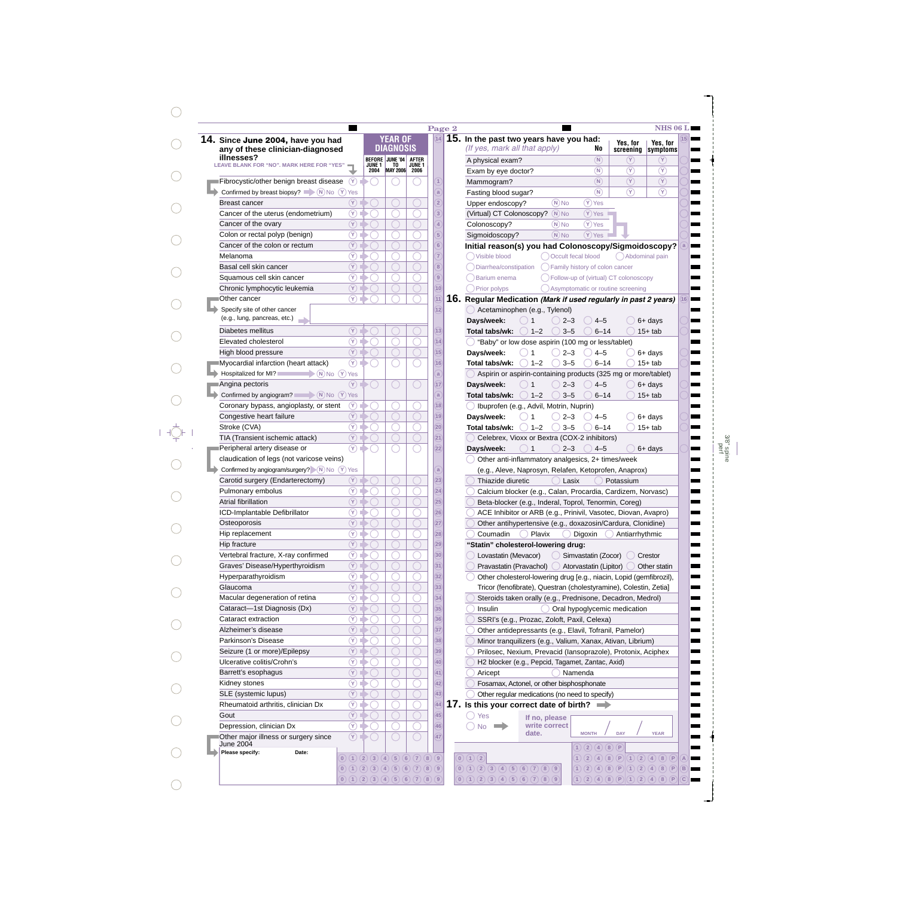| 14. Since June 2004, have you had                                                    |                                                                                                         |                       | <b>YEAR OF</b>         |                   | 14             | 15. In the past two years have you had:                                  |                                          |                                                                               |                      |
|--------------------------------------------------------------------------------------|---------------------------------------------------------------------------------------------------------|-----------------------|------------------------|-------------------|----------------|--------------------------------------------------------------------------|------------------------------------------|-------------------------------------------------------------------------------|----------------------|
| any of these clinician-diagnosed                                                     |                                                                                                         |                       | DIAGNOSIS              |                   |                | (If yes, mark all that apply)                                            | No                                       | Yes, for<br>screening                                                         | Yes, for<br>symptoms |
| illnesses?                                                                           |                                                                                                         |                       | <b>BEFORE JUNE '04</b> | <b>AFTER</b>      |                | A physical exam?                                                         | (N)                                      | (Y)                                                                           | $(\mathsf{Y})$       |
| <b>LEAVE BLANK FOR "NO". MARK HERE FOR "YES"</b>                                     |                                                                                                         | <b>JUNE 1</b><br>2004 | TO<br>MAY 2006 2006    | JUNE <sub>1</sub> |                | Exam by eye doctor?                                                      | $\binom{N}{k}$                           | $\circledcirc$                                                                | $\circledR$          |
| Fibrocystic/other benign breast disease (Y)                                          |                                                                                                         |                       |                        |                   |                | Mammogram?                                                               | (N)                                      | $\circledcirc$                                                                | $\circled{r}$        |
| Confirmed by breast biopsy? $\blacksquare$ (N) No (Y) Yes                            |                                                                                                         |                       |                        |                   |                | Fasting blood sugar?                                                     | $\binom{N}{k}$                           | $\circledcirc$                                                                | $\circledR$          |
| <b>Breast cancer</b>                                                                 | $\circledR$                                                                                             |                       |                        |                   | $\overline{2}$ | $(N)$ No<br>Upper endoscopy?                                             | $(Y)$ Yes                                |                                                                               |                      |
|                                                                                      | $\circledcirc$                                                                                          |                       |                        |                   | 3              |                                                                          |                                          |                                                                               |                      |
| Cancer of the uterus (endometrium)                                                   |                                                                                                         |                       |                        |                   |                | (Virtual) CT Colonoscopy? N No                                           | $(Y)$ Yes                                |                                                                               |                      |
| Cancer of the ovary                                                                  | $\circled{r}$                                                                                           |                       |                        |                   | $\Delta$       | $(N)$ No<br>Colonoscopy?                                                 | $(Y)$ Yes                                |                                                                               |                      |
| Colon or rectal polyp (benign)                                                       | $\circledR$                                                                                             |                       |                        |                   | $5^{\circ}$    | $(N)$ No<br>Sigmoidoscopy?                                               | $(Y)$ Yes                                |                                                                               |                      |
| Cancer of the colon or rectum                                                        | $\circledR$                                                                                             |                       |                        |                   | 6              | Initial reason(s) you had Colonoscopy/Sigmoidoscopy?                     |                                          |                                                                               |                      |
| Melanoma                                                                             | $\circledcirc$                                                                                          |                       |                        |                   | $\overline{7}$ | () Visible blood                                                         | Occult fecal blood                       | () Abdominal pain                                                             |                      |
| Basal cell skin cancer                                                               | $\circled{r}$                                                                                           |                       |                        |                   | $\sqrt{8}$     | Diarrhea/constipation                                                    | () Family history of colon cancer        |                                                                               |                      |
| Squamous cell skin cancer                                                            | $\circledR$                                                                                             |                       |                        |                   | $\boxed{9}$    | Darium enema                                                             | () Follow-up of (virtual) CT colonoscopy |                                                                               |                      |
| Chronic lymphocytic leukemia                                                         | $\circledR$                                                                                             |                       |                        |                   | 10)            | Prior polyps                                                             | () Asymptomatic or routine screening     |                                                                               |                      |
| Other cancer                                                                         | $\circledcirc$                                                                                          |                       |                        |                   | (11)           | 16. Regular Medication (Mark if used regularly in past 2 years)          |                                          |                                                                               |                      |
| Specify site of other cancer                                                         |                                                                                                         |                       |                        |                   | (12)           | Acetaminophen (e.g., Tylenol)                                            |                                          |                                                                               |                      |
| (e.g., lung, pancreas, etc.)                                                         |                                                                                                         |                       |                        |                   |                |                                                                          |                                          |                                                                               |                      |
|                                                                                      |                                                                                                         |                       |                        |                   |                | Days/week:<br>$2 - 3$<br>-1                                              | $4 - 5$                                  |                                                                               | $6+$ days            |
| Diabetes mellitus                                                                    | $\circledR$                                                                                             |                       |                        |                   | (13)           | $) 1-2$<br>$3 - 5$<br>Total tabs/wk:                                     | $6 - 14$                                 |                                                                               | $15+$ tab            |
| Elevated cholesterol                                                                 | $\circledcirc$                                                                                          |                       |                        |                   | (14)           | "Baby" or low dose aspirin (100 mg or less/tablet)                       |                                          |                                                                               |                      |
| High blood pressure                                                                  | $\circled{r}$                                                                                           |                       |                        |                   | (15)           | Days/week:<br>$2 - 3$                                                    | $4 - 5$                                  |                                                                               | $6+$ days            |
| Myocardial infarction (heart attack)                                                 | $(\overline{Y})$                                                                                        |                       |                        |                   | 16             | $) 1 - 2$<br>$3 - 5$<br>Total tabs/wk:                                   | $6 - 14$                                 |                                                                               | $15+$ tab            |
| $\blacktriangleright$ (N) No $\bigcirc$ Yes<br>Hospitalized for MI?                  |                                                                                                         |                       |                        |                   | a              | Aspirin or aspirin-containing products (325 mg or more/tablet)           |                                          |                                                                               |                      |
| Angina pectoris                                                                      | $(\overline{Y})$ $\Box$                                                                                 |                       | C                      |                   | (17)           | Days/week:<br>$2 - 3$                                                    | $4 - 5$                                  |                                                                               | $6+$ days            |
| Confirmed by angiogram? $\qquad \qquad \mathbb{N} \mathbb{N} \circ (\mathbb{Y})$ Yes |                                                                                                         |                       |                        |                   | a              | $) 1 - 2$<br>$3 - 5$<br>Total tabs/wk:                                   | $6 - 14$                                 |                                                                               | $15+$ tab            |
| Coronary bypass, angioplasty, or stent                                               | $\circled{r}$                                                                                           |                       |                        |                   | $ 18\rangle$   |                                                                          |                                          |                                                                               |                      |
|                                                                                      | $\circled{r}$                                                                                           |                       |                        |                   |                | J Ibuprofen (e.g., Advil, Motrin, Nuprin)                                |                                          |                                                                               |                      |
| Congestive heart failure                                                             |                                                                                                         |                       |                        |                   | (19)           | Days/week:<br>$2 - 3$                                                    | $4 - 5$                                  |                                                                               | $6+$ days            |
| Stroke (CVA)                                                                         | $(\overline{Y})$ ii                                                                                     |                       |                        |                   | (20)           | $() 1-2$<br>$3 - 5$<br>Total tabs/wk:                                    | $6 - 14$                                 |                                                                               | $15+$ tab            |
| TIA (Transient ischemic attack)                                                      | $\circled{r}$                                                                                           |                       |                        |                   | (21)           | Celebrex, Vioxx or Bextra (COX-2 inhibitors)                             |                                          |                                                                               |                      |
| Peripheral artery disease or                                                         | $\left( Y\right)$                                                                                       |                       |                        |                   | (22)           | $2 - 3$<br>Days/week:<br>)1                                              | $4 - 5$                                  |                                                                               | $6+$ days            |
| claudication of legs (not varicose veins)                                            |                                                                                                         |                       |                        |                   |                | Other anti-inflammatory analgesics, 2+ times/week                        |                                          |                                                                               |                      |
| Confirmed by angiogram/surgery? N No (Y) Yes                                         |                                                                                                         |                       |                        |                   | a              | (e.g., Aleve, Naprosyn, Relafen, Ketoprofen, Anaprox)                    |                                          |                                                                               |                      |
| Carotid surgery (Endarterectomy)                                                     | $\circled{r}$                                                                                           |                       |                        |                   | (23)           | Thiazide diuretic                                                        | Lasix                                    | Potassium                                                                     |                      |
| Pulmonary embolus                                                                    | $\circledf$                                                                                             |                       |                        |                   | (24)           | Calcium blocker (e.g., Calan, Procardia, Cardizem, Norvasc)              |                                          |                                                                               |                      |
| Atrial fibrillation                                                                  | $\circled{r}$                                                                                           |                       |                        |                   | (25)           | Beta-blocker (e.g., Inderal, Toprol, Tenormin, Coreg)                    |                                          |                                                                               |                      |
|                                                                                      | $^\circledR$                                                                                            |                       |                        |                   | 26             |                                                                          |                                          |                                                                               |                      |
| ICD-Implantable Defibrillator                                                        |                                                                                                         |                       |                        |                   |                | ACE Inhibitor or ARB (e.g., Prinivil, Vasotec, Diovan, Avapro)           |                                          |                                                                               |                      |
| Osteoporosis                                                                         | $\circled{r}$                                                                                           |                       |                        |                   | (27)           | Other antihypertensive (e.g., doxazosin/Cardura, Clonidine)              |                                          |                                                                               |                      |
| Hip replacement                                                                      | $\circledf$                                                                                             |                       |                        |                   | (28)           | Plavix<br>Coumadin                                                       | Digoxin                                  | Antiarrhythmic                                                                |                      |
| Hip fracture                                                                         | $\circledR$                                                                                             |                       |                        |                   | (29)           | "Statin" cholesterol-lowering drug:                                      |                                          |                                                                               |                      |
| Vertebral fracture, X-ray confirmed                                                  | $\circledR$                                                                                             |                       |                        |                   | (30)           | Lovastatin (Mevacor)<br>(                                                | Simvastatin (Zocor)                      |                                                                               | Crestor              |
| Graves' Disease/Hyperthyroidism                                                      | $\circled{r}$                                                                                           |                       |                        |                   | (31)           | Pravastatin (Pravachol) ()                                               | Atorvastatin (Lipitor)                   |                                                                               | Other statin         |
| Hyperparathyroidism                                                                  | $^\circledR$                                                                                            |                       |                        |                   | (32)           | Other cholesterol-lowering drug [e.g., niacin, Lopid (gemfibrozil),      |                                          |                                                                               |                      |
| Glaucoma                                                                             | $\circledR$                                                                                             |                       |                        |                   | (33)           | Tricor (fenofibrate), Questran (cholestyramine), Colestin, Zetia]        |                                          |                                                                               |                      |
| Macular degeneration of retina                                                       | $\circledR$                                                                                             |                       |                        |                   | (34)           | Steroids taken orally (e.g., Prednisone, Decadron, Medrol)               |                                          |                                                                               |                      |
|                                                                                      |                                                                                                         |                       |                        |                   |                |                                                                          |                                          |                                                                               |                      |
| Cataract-1st Diagnosis (Dx)                                                          | $(\Upsilon)$                                                                                            |                       |                        |                   | (35)           | Insulin                                                                  | Oral hypoglycemic medication             |                                                                               |                      |
| Cataract extraction                                                                  | $\circledcirc$                                                                                          |                       |                        |                   | (36)           | SSRI's (e.g., Prozac, Zoloft, Paxil, Celexa)                             |                                          |                                                                               |                      |
| Alzheimer's disease                                                                  | (Y)                                                                                                     |                       |                        |                   | (37)           | Other antidepressants (e.g., Elavil, Tofranil, Pamelor)                  |                                          |                                                                               |                      |
| Parkinson's Disease                                                                  | $\circledR$                                                                                             |                       |                        |                   | (38)           | Minor tranquilizers (e.g., Valium, Xanax, Ativan, Librium)               |                                          |                                                                               |                      |
| Seizure (1 or more)/Epilepsy                                                         | $(\Upsilon)$                                                                                            |                       |                        |                   | (39)           | Prilosec, Nexium, Prevacid (Iansoprazole), Protonix, Aciphex             |                                          |                                                                               |                      |
| Ulcerative colitis/Crohn's                                                           | $^\circledR$                                                                                            |                       |                        |                   | (40)           | H2 blocker (e.g., Pepcid, Tagamet, Zantac, Axid)                         |                                          |                                                                               |                      |
| Barrett's esophagus                                                                  | $\circled{r}$                                                                                           |                       |                        |                   | (41)           | Aricept                                                                  | Namenda                                  |                                                                               |                      |
|                                                                                      |                                                                                                         |                       |                        |                   |                |                                                                          |                                          |                                                                               |                      |
| Kidney stones                                                                        | $\circledcirc$                                                                                          |                       |                        |                   | (42)           | Fosamax, Actonel, or other bisphosphonate                                |                                          |                                                                               |                      |
| SLE (systemic lupus)                                                                 | $\circled{r}$                                                                                           |                       |                        |                   | (43)           | Other regular medications (no need to specify)                           |                                          |                                                                               |                      |
| Rheumatoid arthritis, clinician Dx                                                   | $(\forall)$ i                                                                                           |                       |                        |                   | (44)           | 17. Is this your correct date of birth? $\implies$                       |                                          |                                                                               |                      |
| Gout                                                                                 | $\circled{r}$                                                                                           |                       |                        |                   | (45)           | $\bigcirc$ Yes<br>If no, please                                          |                                          |                                                                               |                      |
| Depression, clinician Dx                                                             | $(\overline{Y})$ $\Box$                                                                                 |                       | ◯                      |                   | (46)           | write correct<br>) No<br>$\rightarrow$                                   |                                          |                                                                               |                      |
| Other major illness or surgery since                                                 | $\left( Y\right)$                                                                                       |                       |                        |                   | 47             | date.                                                                    | <b>MONTH</b>                             | <b>DAY</b>                                                                    | <b>YEAR</b>          |
| June 2004                                                                            |                                                                                                         |                       |                        |                   |                |                                                                          | $1)$ $(2)$ $(4)$                         | (8)<br>(P)                                                                    |                      |
|                                                                                      |                                                                                                         |                       |                        |                   |                |                                                                          |                                          |                                                                               |                      |
| Please specify:<br>Date:                                                             |                                                                                                         |                       |                        |                   |                |                                                                          |                                          |                                                                               |                      |
|                                                                                      | $0)$ (1) (2) (3) (4) (5) (6) (7) (8) (9)<br>$(0)$ $(1)$ $(2)$ $(3)$ $(4)$ $(5)$ $(6)$ $(7)$ $(8)$ $(9)$ |                       |                        |                   |                | (0)(1)(2)<br>$(0)$ $(1)$ $(2)$ $(3)$ $(4)$ $(5)$ $(6)$ $(7)$ $(8)$ $(9)$ |                                          | $1)$ (2) (4) (8) (P) (1) (2) (4) (8) (P)<br>(1)(2)(4)(8)(P)(1)(2)(4)(8)(P)(B) |                      |

 $\bigcirc$ 

 $\bigcirc$ 

3/8" spine perf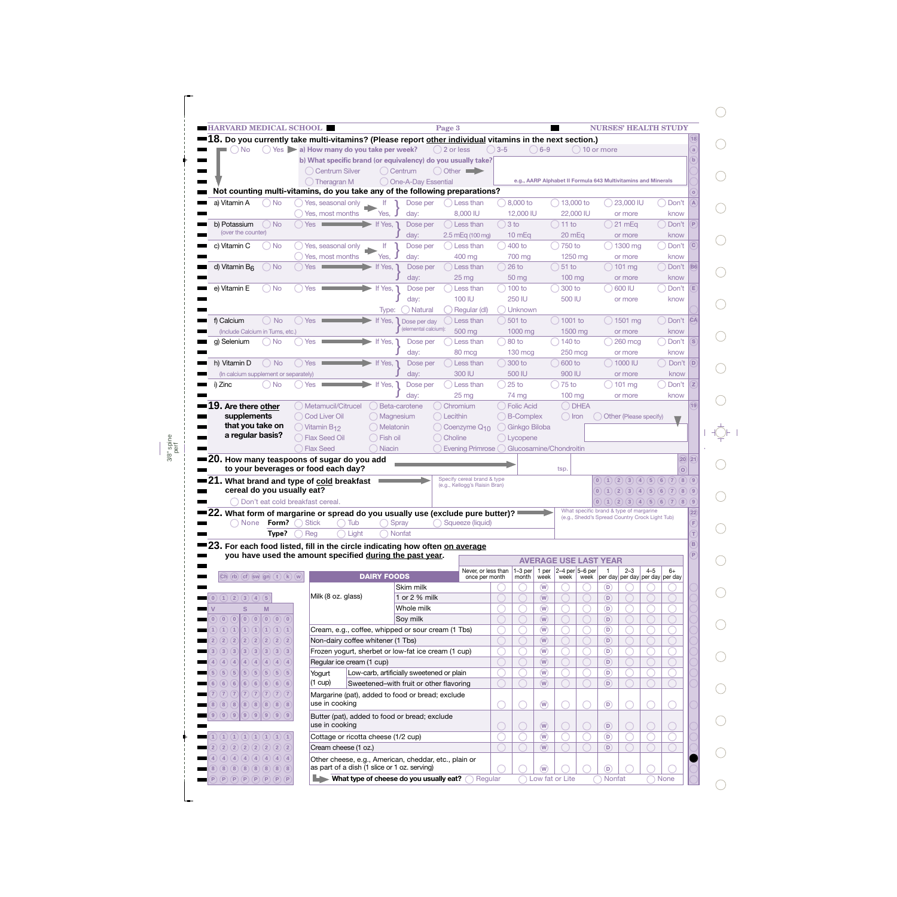|                                                                               |                                                                              | <b>HARVARD MEDICAL SCHOOL</b>                                                                                                                       |                    |                                           | Page 3                                      |                |                     |                                     |                                                               |                  | <b>NURSES' HEALTH STUDY</b>                    |                         |         |                                                                  |                             |
|-------------------------------------------------------------------------------|------------------------------------------------------------------------------|-----------------------------------------------------------------------------------------------------------------------------------------------------|--------------------|-------------------------------------------|---------------------------------------------|----------------|---------------------|-------------------------------------|---------------------------------------------------------------|------------------|------------------------------------------------|-------------------------|---------|------------------------------------------------------------------|-----------------------------|
|                                                                               |                                                                              | ■18. Do you currently take multi-vitamins? (Please report other individual vitamins in the next section.)                                           |                    |                                           |                                             |                |                     |                                     |                                                               |                  |                                                |                         |         |                                                                  |                             |
| $)$ No                                                                        |                                                                              | Yes al How many do you take per week?                                                                                                               |                    |                                           | $( ) 2$ or less                             | $\bigcirc$ 3-5 |                     | $( ) 6 - 9$                         |                                                               | $( ) 10$ or more |                                                |                         |         |                                                                  | a                           |
|                                                                               |                                                                              | b) What specific brand (or equivalency) do you usually take?                                                                                        |                    |                                           |                                             |                |                     |                                     |                                                               |                  |                                                |                         |         |                                                                  |                             |
|                                                                               |                                                                              | ( ) Centrum Silver                                                                                                                                  |                    | () Centrum                                | $\bigcirc$ Other                            |                |                     |                                     |                                                               |                  |                                                |                         |         |                                                                  |                             |
|                                                                               |                                                                              | $( )$ Theragran M                                                                                                                                   |                    | One-A-Day Essential                       |                                             |                |                     |                                     | e.g., AARP Alphabet II Formula 643 Multivitamins and Minerals |                  |                                                |                         |         |                                                                  |                             |
|                                                                               |                                                                              | Not counting multi-vitamins, do you take any of the following preparations?                                                                         |                    |                                           |                                             |                |                     |                                     |                                                               |                  |                                                |                         |         |                                                                  |                             |
| a) Vitamin A                                                                  | $\bigcirc$ No                                                                | Yes, seasonal only                                                                                                                                  | f                  | Dose per                                  | Less than                                   |                | $\bigcirc$ 8.000 to |                                     | $\bigcirc$ 13,000 to                                          |                  |                                                | $\bigcirc$ 23.000 IU    |         | ◯ Don't                                                          | $\sqrt{A}$                  |
|                                                                               |                                                                              | Yes, most months                                                                                                                                    | Yes,               | day:                                      | 8,000 IU                                    |                | 12,000 IU           |                                     | 22,000 IU                                                     |                  |                                                | or more                 |         | know                                                             |                             |
| b) Potassium<br>(over the counter)                                            | $\bigcirc$ No                                                                | Yes                                                                                                                                                 | If Yes,            | Dose per                                  | () Less than                                | $3$ to         |                     |                                     | $()$ 11 to                                                    |                  |                                                | ( ) 21 mEq              |         | ( ) Don't                                                        | $\left  \mathsf{P} \right $ |
|                                                                               |                                                                              |                                                                                                                                                     |                    | day:                                      | $2.5$ mEq (100 mg)                          |                | $10 \text{ mEq}$    |                                     | 20 mEq                                                        |                  |                                                | or more                 |         | know                                                             |                             |
| c) Vitamin C                                                                  | O No                                                                         | Yes, seasonal only                                                                                                                                  | lf                 | Dose per                                  | Less than                                   |                | $(400)$ to          |                                     | $750$ to                                                      |                  |                                                | $( ) 1300$ mg           |         | ) Don't                                                          | C                           |
| $\bigcirc$ No                                                                 |                                                                              | Yes, most months<br>Yes                                                                                                                             | Yes,<br>If Yes,    | day:<br>Dose per                          | 400 mg<br>() Less than                      |                | 700 mg<br>$26$ to   |                                     | 1250 mg<br>$\binom{1}{2}$ 51 to                               |                  |                                                | or more<br>$( ) 101$ mg |         | know<br>( ) Don't                                                | $\overline{B6}$             |
| d) Vitamin B <sub>6</sub>                                                     |                                                                              |                                                                                                                                                     |                    | day:                                      | 25 <sub>mg</sub>                            |                | 50 mg               |                                     | $100$ mg                                                      |                  |                                                | or more                 |         | know                                                             |                             |
| e) Vitamin E                                                                  | O No                                                                         | Yes                                                                                                                                                 | If Yes,            | Dose per                                  | Less than                                   |                | $) 100$ to          |                                     | ) 300 to                                                      |                  |                                                | $( ) 600$ IU            |         | ) Don't                                                          | Έ                           |
|                                                                               |                                                                              |                                                                                                                                                     |                    | day:                                      | 100 IU                                      |                | 250 IU              |                                     | 500 IU                                                        |                  |                                                | or more                 |         | know                                                             |                             |
|                                                                               |                                                                              |                                                                                                                                                     | Type:              | ) Natural                                 | Regular (dl)                                |                | ) Unknown           |                                     |                                                               |                  |                                                |                         |         |                                                                  |                             |
| f) Calcium                                                                    | $\bigcirc$ No                                                                | $()$ Yes                                                                                                                                            | If Yes,            | Dose per day                              | Less than                                   |                | $501$ to            |                                     | $\bigcirc$ 1001 to                                            |                  |                                                | $( ) 1501$ mg           |         | ◯ Don't                                                          | <b>CA</b>                   |
| (Include Calcium in Tums, etc.)                                               |                                                                              |                                                                                                                                                     |                    | (elemental calcium):                      | 500 mg                                      |                | 1000 mg             |                                     | 1500 mg                                                       |                  |                                                | or more                 |         | know                                                             |                             |
| q) Selenium                                                                   | $\bigcirc$ No                                                                | Yes                                                                                                                                                 | If Yes,            | Dose per                                  | Less than                                   |                | $80$ to             |                                     | $\big)$ 140 to                                                |                  |                                                | $\bigcirc$ 260 mca      |         | ) Don't                                                          | $\boxed{\mathbf{s}}$        |
|                                                                               |                                                                              |                                                                                                                                                     |                    | day:                                      | 80 mcg                                      |                | $130 \text{ mcg}$   |                                     | $250$ mcg                                                     |                  |                                                | or more                 |         | know                                                             |                             |
| h) Vitamin D                                                                  | $\bigcirc$ No                                                                | ◯ Yes                                                                                                                                               | If Yes,            | Dose per                                  | Dess than                                   |                | $( ) 300$ to        |                                     | $( ) 600$ to                                                  |                  |                                                | $( ) 1000$ IU           |         | $($ $)$ Don't $($ D $)$                                          |                             |
| (In calcium supplement or separately)                                         |                                                                              |                                                                                                                                                     |                    | day:                                      | 300 IU                                      |                | 500 IU              |                                     | 900 IU                                                        |                  |                                                | or more                 |         | know                                                             |                             |
| i) Zinc                                                                       | ○ No                                                                         | Yes                                                                                                                                                 | If Yes,            | Dose per                                  | Less than                                   |                | $25$ to             |                                     | $75$ to                                                       |                  |                                                | $( ) 101$ mg            |         | ) Don't                                                          | Ζ                           |
|                                                                               |                                                                              |                                                                                                                                                     |                    | day:                                      | 25 <sub>mg</sub>                            |                | 74 mg               |                                     | $100 \text{ mg}$                                              |                  |                                                | or more                 |         | know                                                             |                             |
| $\bf 19.$ Are there other                                                     |                                                                              | ◯ Metamucil/Citrucel                                                                                                                                |                    | Beta-carotene                             | Chromium                                    |                | () Folic Acid       |                                     | O DHEA                                                        |                  |                                                |                         |         |                                                                  | 19                          |
| supplements<br>that you take on                                               |                                                                              | ( ) Cod Liver Oil                                                                                                                                   | () Magnesium       |                                           | () Lecithin                                 |                | () B-Complex        |                                     | $\bigcirc$ Iron                                               |                  |                                                | Other (Please specify)  |         |                                                                  |                             |
|                                                                               |                                                                              |                                                                                                                                                     |                    |                                           |                                             |                |                     |                                     |                                                               |                  |                                                |                         |         |                                                                  |                             |
|                                                                               |                                                                              | $\bigcirc$ Vitamin B <sub>12</sub>                                                                                                                  | () Melatonin       |                                           | Coenzyme Q <sub>10</sub>                    |                | ( ) Ginkgo Biloba   |                                     |                                                               |                  |                                                |                         |         |                                                                  |                             |
| a regular basis?                                                              |                                                                              | () Flax Seed Oil                                                                                                                                    | ○ Fish oil         |                                           | Choline                                     |                | ◯ Lycopene          |                                     |                                                               |                  |                                                |                         |         |                                                                  |                             |
|                                                                               |                                                                              | Flax Seed                                                                                                                                           | ( Niacin           |                                           | Evening Primrose () Glucosamine/Chondroitin |                |                     |                                     |                                                               |                  |                                                |                         |         |                                                                  |                             |
|                                                                               |                                                                              | 20. How many teaspoons of sugar do you add                                                                                                          |                    |                                           |                                             |                |                     |                                     |                                                               |                  |                                                |                         |         |                                                                  | 20 21                       |
|                                                                               |                                                                              | to your beverages or food each day?                                                                                                                 |                    |                                           | Specify cereal brand & type                 |                |                     |                                     | tsp.                                                          |                  |                                                |                         |         |                                                                  | $\sigma$                    |
|                                                                               |                                                                              | ■21. What brand and type of <u>cold</u> breakfast<br>cereal do you usually eat?                                                                     |                    |                                           | (e.g., Kellogg's Raisin Bran)               |                |                     |                                     |                                                               |                  |                                                |                         |         | (0)(1)(2)(3)(4)(5)(6)(7)(8)(9)<br>(0)(1)(2)(3)(4)(5)(6)(7)(8)(9) |                             |
|                                                                               |                                                                              | Don't eat cold breakfast cereal.                                                                                                                    |                    |                                           |                                             |                |                     |                                     |                                                               |                  |                                                |                         |         | (0)(1)(2)(3)(4)(5)(6)(7)(8)(9)                                   |                             |
|                                                                               |                                                                              |                                                                                                                                                     |                    |                                           |                                             |                |                     |                                     |                                                               |                  | What specific brand & type of margarine        |                         |         |                                                                  | 22                          |
| ◯ None i                                                                      | Form? $\bigcap$                                                              | = 22. What form of margarine or spread do you usually use (exclude pure butter)? $\hspace{1.5cm}$ $\hspace{1.5cm}$<br>$\bigcap$ Tub<br><b>Stick</b> |                    | Spray                                     | Squeeze (liquid)                            |                |                     |                                     |                                                               |                  | (e.g., Shedd's Spread Country Crock Light Tub) |                         |         |                                                                  | F                           |
|                                                                               | Type?                                                                        | $\bigcap$ Light<br>Reg                                                                                                                              |                    | Nonfat                                    |                                             |                |                     |                                     |                                                               |                  |                                                |                         |         |                                                                  |                             |
|                                                                               |                                                                              | 23. For each food listed, fill in the circle indicating how often on average                                                                        |                    |                                           |                                             |                |                     |                                     |                                                               |                  |                                                |                         |         |                                                                  | B                           |
|                                                                               |                                                                              | you have used the amount specified during the past year.                                                                                            |                    |                                           |                                             |                |                     |                                     |                                                               |                  |                                                |                         |         |                                                                  | P                           |
|                                                                               |                                                                              |                                                                                                                                                     |                    |                                           | Never, or less than                         |                | $1-3$ per           | 1 per                               | <b>AVERAGE USE LAST YEAR</b><br>$2-4$ per $5-6$ per           |                  | $\overline{1}$                                 | $2 - 3$                 | $4 - 5$ | $6+$                                                             |                             |
| $(Ch)$ $(h)$ $(cf)$ $sw$ $gn)$ $(t)$ $(k)$ $(w)$                              |                                                                              |                                                                                                                                                     | <b>DAIRY FOODS</b> |                                           | once per month                              |                | month               | week                                | week                                                          |                  |                                                |                         |         | week   per day   per day   per day   per day                     |                             |
|                                                                               |                                                                              |                                                                                                                                                     |                    | Skim milk                                 |                                             |                |                     | $\overline{w}$                      |                                                               |                  | (D)                                            |                         |         |                                                                  |                             |
|                                                                               |                                                                              | Milk (8 oz. glass)                                                                                                                                  |                    | 1 or 2 % milk                             |                                             |                |                     | $\left(\widehat{\mathsf{W}}\right)$ |                                                               |                  | $\left(\mathsf{D}\right)$                      |                         |         |                                                                  |                             |
| S                                                                             | M                                                                            |                                                                                                                                                     |                    | Whole milk                                |                                             |                |                     | $\circledR$                         |                                                               |                  | $\circ$                                        |                         |         |                                                                  |                             |
| $\left( \begin{matrix} 0 \\ 0 \end{matrix} \right)$<br>(0)(0)                 | $\left( \mathbf{0}\right) \left( \mathbf{0}\right) \left( \mathbf{0}\right)$ |                                                                                                                                                     |                    | Soy milk                                  |                                             |                |                     | $\left(\widehat{\mathsf{W}}\right)$ |                                                               |                  | $\circ$                                        |                         |         |                                                                  |                             |
| (1)(1)                                                                        | (1)(1)(1)(1)(1)                                                              | Cream, e.g., coffee, whipped or sour cream (1 Tbs)                                                                                                  |                    |                                           |                                             |                |                     | $\circledR$                         |                                                               |                  | $\circ$                                        |                         |         |                                                                  |                             |
| (2)(2)                                                                        | (2)(2)(2)(2)(2)                                                              | Non-dairy coffee whitener (1 Tbs)                                                                                                                   |                    |                                           |                                             |                |                     | $\left(\widehat{\mathsf{W}}\right)$ |                                                               |                  | $\circ$                                        |                         |         |                                                                  |                             |
|                                                                               | (3)(3)(3)(3)(3)                                                              | Frozen yogurt, sherbet or low-fat ice cream (1 cup)                                                                                                 |                    |                                           |                                             |                |                     | $\circledR$                         |                                                               |                  | $\circledcirc$                                 |                         |         |                                                                  |                             |
| (4)<br>(4)(4)<br>(4)                                                          | (4)(4)(4)                                                                    | Regular ice cream (1 cup)                                                                                                                           |                    |                                           |                                             |                |                     | $\left(\widehat{\mathsf{W}}\right)$ |                                                               |                  | $\circ$                                        |                         |         |                                                                  |                             |
| (5)(5)<br>(5)(5)                                                              | (5)(5)(5)                                                                    | Yogurt<br>$(1 \text{ cup})$                                                                                                                         |                    | Low-carb, artificially sweetened or plain |                                             |                |                     | $\circledR$                         |                                                               |                  | $\circledcirc$                                 |                         |         |                                                                  |                             |
| $(0)$ (1) (2) (3) (4) (5)<br>(3)(3)<br>(6)(6)<br>(6)(6)<br>(7)(7)<br>(7)(7)   | (6)(6)(6)<br>(7)(7)(7)                                                       |                                                                                                                                                     |                    | Sweetened-with fruit or other flavoring   |                                             |                |                     | $\circledR$                         |                                                               |                  | (D)                                            |                         |         |                                                                  |                             |
| (8)(8)<br>(8)(8)                                                              | (8)(8)(8)                                                                    | Margarine (pat), added to food or bread; exclude<br>use in cooking                                                                                  |                    |                                           |                                             |                |                     |                                     |                                                               |                  |                                                |                         |         |                                                                  |                             |
|                                                                               |                                                                              |                                                                                                                                                     |                    |                                           |                                             |                |                     | $\circledR$                         |                                                               |                  | $\circledcirc$                                 |                         |         |                                                                  |                             |
|                                                                               |                                                                              | Butter (pat), added to food or bread; exclude<br>use in cooking                                                                                     |                    |                                           |                                             |                |                     | $\circledR$                         |                                                               |                  | $\left( \nabla \right)$                        |                         |         |                                                                  |                             |
|                                                                               |                                                                              | Cottage or ricotta cheese (1/2 cup)                                                                                                                 |                    |                                           |                                             |                |                     | $\circledR$                         |                                                               |                  | $\circledcirc$                                 |                         |         |                                                                  |                             |
| (9)(9)(9)(9)(9)(9)(9)<br>(1)(1)(1)(1)(1)(1)(1)(1)(1)<br>(2)(2)(2)(2)(2)(2)(2) |                                                                              | Cream cheese (1 oz.)                                                                                                                                |                    |                                           |                                             |                |                     | $\overline{w}$                      |                                                               |                  | (D)                                            |                         |         |                                                                  |                             |
| (4)(4)(4)(4)(4)(4)(4)                                                         |                                                                              |                                                                                                                                                     |                    |                                           |                                             |                |                     |                                     |                                                               |                  |                                                |                         |         |                                                                  |                             |
| (8)(8)(8)(8)(8)(8)(8)                                                         |                                                                              | Other cheese, e.g., American, cheddar, etc., plain or<br>as part of a dish (1 slice or 1 oz. serving)                                               |                    |                                           |                                             |                |                     | $\overline{w}$                      |                                                               |                  | $\circledcirc$                                 |                         |         |                                                                  |                             |

 $\bigcirc$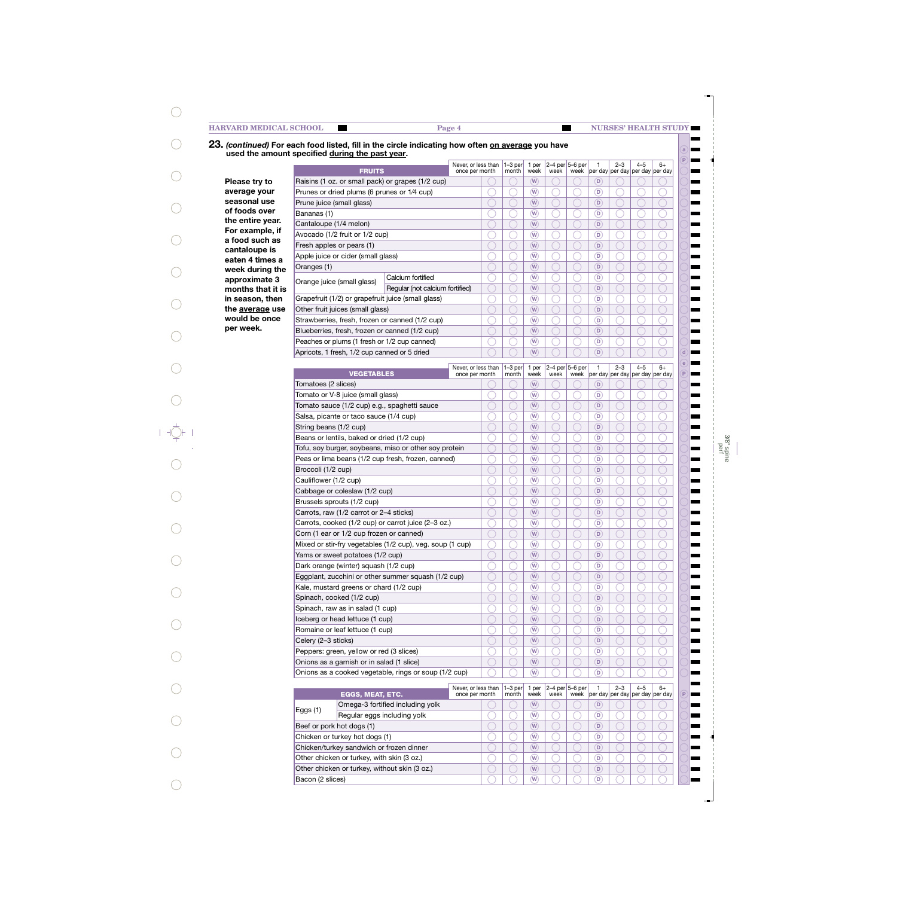### **FRUITS Please try to average your seasonal use of foods over the entire year. For example, if a food such as cantaloupe is eaten 4 times a week during the approximate 3 months that it is in season, then the average use would be once per week.** Eggplant, zucchini or other summer squash (1/2 cup) Kale, mustard greens or chard (1/2 cup) Spinach, cooked (1/2 cup) Spinach, raw as in salad (1 cup) Iceberg or head lettuce (1 cup) Romaine or leaf lettuce (1 cup) Celery (2–3 sticks) Peppers: green, yellow or red (3 slices) Onions as a garnish or in salad (1 slice) Onions as a cooked vegetable, rings or soup (1/2 cup) **VEGETABLES** Tomatoes (2 slices) Tomato or V-8 juice (small glass) Tomato sauce (1/2 cup) e.g., spaghetti sauce Salsa, picante or taco sauce (1/4 cup) String beans (1/2 cup) Beans or lentils, baked or dried (1/2 cup) Tofu, soy burger, soybeans, miso or other soy protein Peas or lima beans (1/2 cup fresh, frozen, canned) Broccoli (1/2 cup) Cauliflower (1/2 cup) Cabbage or coleslaw (1/2 cup) Brussels sprouts (1/2 cup) Carrots, raw (1/2 carrot or 2–4 sticks) Carrots, cooked (1/2 cup) or carrot juice (2–3 oz.) Corn (1 ear or 1/2 cup frozen or canned) Mixed or stir-fry vegetables (1/2 cup), veg. soup (1 cup) Yams or sweet potatoes (1/2 cup) Dark orange (winter) squash (1/2 cup) **EGGS, MEAT, ETC.** Beef or pork hot dogs (1) Chicken or turkey hot dogs (1) Chicken/turkey sandwich or frozen dinner Other chicken or turkey, with skin (3 oz.) Other chicken or turkey, without skin (3 oz.) Bacon (2 slices) **a P e d P** Raisins (1 oz. or small pack) or grapes (1/2 cup) Prunes or dried plums (6 prunes or 1⁄4 cup) Prune juice (small glass) Bananas (1) Cantaloupe (1/4 melon) Avocado (1/2 fruit or 1/2 cup) Fresh apples or pears (1) Apple juice or cider (small glass) Oranges (1) Orange juice (small glass) Calcium fortified Regular (not calcium fortified) Grapefruit (1/2) or grapefruit juice (small glass) Other fruit juices (small glass) Strawberries, fresh, frozen or canned (1/2 cup) Blueberries, fresh, frozen or canned (1/2 cup) Peaches or plums (1 fresh or 1/2 cup canned) Apricots, 1 fresh, 1/2 cup canned or 5 dried **23.** *(continued)* **For each food listed, fill in the circle indicating how often on average you have used the amount specified during the past year.**  $6+$ per day 4–5 per day 2–3 per day 1 per day 2–4 per <mark>b–6 per</mark> week week 1 per week  $1-3$  per month Never, or less than once per month 6+ per day 4–5 per day per day 2–3 1 per day 2–4 per 5–6 per week week 1 per week 1–3 per month Never, or less than once per month  $6+$ per day per day per day per day 4–5 2–3 1 2–4 per 5–6 per week week 1 per week  $\sqrt{1-3}$  per month Never, or less than once per month  $W$   $\cup$   $\cup$   $\cup$   $\cup$   $\cup$ **W D**  $W$   $\cup$   $\cup$   $\cup$   $\cup$   $\cup$ **W D**  $W$   $\cup$   $\cup$   $\cup$   $\cup$   $\cup$ **W D W D W D W D W D W D W D W D W D W D W D W D P W D W D W D W D W D W D W D W D W D W D W D**  $W \cup \cup \cup \cup \cup \cup$ **W D W D W D W D W D W D W D W D W D W D W D W D W D W D W D W D W D W D W D W D W D W D W D**  $W \cap \bigcap_{\alpha} P$ Omega-3 fortified including yolk Eggs (1) Regular eggs including yolk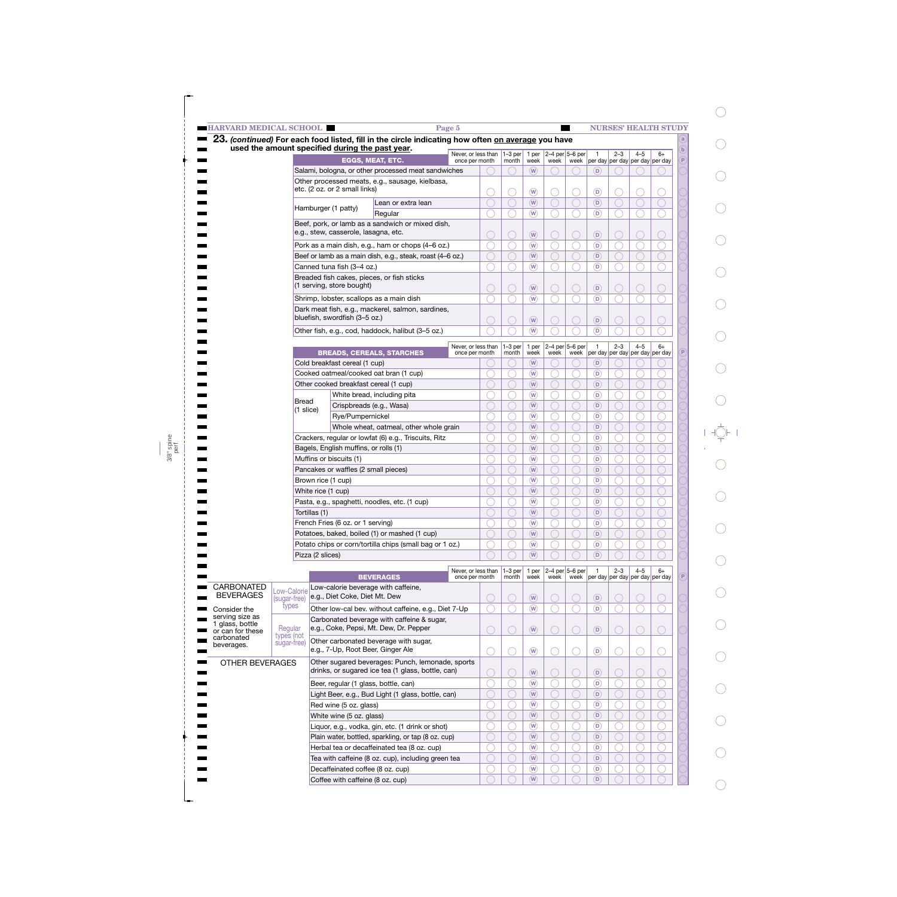| <b>HARVARD MEDICAL SCHOOL</b>       |                             |                                                                 |                                                                                                   | Page 5                                |   |                    |                                                                 |      |                     |                                           |         |         | <b>NURSES' HEALTH STUDY</b>                           |
|-------------------------------------|-----------------------------|-----------------------------------------------------------------|---------------------------------------------------------------------------------------------------|---------------------------------------|---|--------------------|-----------------------------------------------------------------|------|---------------------|-------------------------------------------|---------|---------|-------------------------------------------------------|
|                                     |                             | used the amount specified during the past year.                 | 23. (continued) For each food listed, fill in the circle indicating how often on average you have |                                       |   |                    |                                                                 |      |                     |                                           |         |         | a                                                     |
|                                     |                             |                                                                 |                                                                                                   | Never, or less than                   |   | $1-3$ per          | 1 per                                                           |      | 2-4 per 5-6 per     | $\mathbf{1}$                              | $2 - 3$ | $4 - 5$ | $\mathbf{b}$<br>$6+$<br>$\mathsf{P}$                  |
|                                     |                             |                                                                 | <b>EGGS. MEAT. ETC.</b><br>Salami, bologna, or other processed meat sandwiches                    | once per month                        |   | month              | week<br>(W)                                                     | week |                     | (D)                                       |         |         | week   per day   per day   per day   per day          |
|                                     |                             |                                                                 | Other processed meats, e.g., sausage, kielbasa,                                                   |                                       |   |                    |                                                                 |      |                     |                                           |         |         |                                                       |
|                                     |                             | etc. (2 oz. or 2 small links)                                   |                                                                                                   |                                       |   |                    | $\sqrt{W}$                                                      |      |                     | $\circ$                                   |         |         |                                                       |
|                                     |                             |                                                                 | Lean or extra lean                                                                                |                                       |   |                    | (W)                                                             |      |                     | $\left( \mathsf{D}\right)$                |         |         |                                                       |
|                                     |                             | Hamburger (1 patty)                                             | Regular                                                                                           |                                       |   |                    | (W)                                                             |      |                     | $\left( \mathsf{D}\right)$                |         |         |                                                       |
|                                     |                             |                                                                 | Beef, pork, or lamb as a sandwich or mixed dish,                                                  |                                       |   |                    |                                                                 |      |                     |                                           |         |         |                                                       |
|                                     |                             | e.g., stew, casserole, lasagna, etc.                            |                                                                                                   |                                       |   |                    | $\sqrt{W}$                                                      |      |                     | $\circledcirc$                            |         |         |                                                       |
|                                     |                             |                                                                 | Pork as a main dish, e.g., ham or chops (4-6 oz.)                                                 |                                       |   |                    | $\sqrt{W}$                                                      |      |                     | $\circ$                                   |         |         |                                                       |
|                                     |                             |                                                                 | Beef or lamb as a main dish, e.g., steak, roast (4-6 oz.)                                         |                                       |   |                    | (W)                                                             |      |                     | $\left( \mathsf{D}\right)$                |         |         |                                                       |
|                                     |                             | Canned tuna fish (3-4 oz.)                                      |                                                                                                   |                                       |   |                    | (W)                                                             |      |                     | $\left( \mathsf{D}\right)$                |         |         |                                                       |
|                                     |                             | (1 serving, store bought)                                       | Breaded fish cakes, pieces, or fish sticks                                                        |                                       |   |                    |                                                                 |      |                     |                                           |         |         |                                                       |
|                                     |                             |                                                                 |                                                                                                   |                                       |   |                    | $\sqrt{W}$                                                      |      |                     | $\circledcirc$                            |         |         |                                                       |
|                                     |                             |                                                                 | Shrimp, lobster, scallops as a main dish                                                          |                                       |   |                    | $\left(\overline{W}\right)$                                     |      |                     | $\circ$                                   |         |         |                                                       |
|                                     |                             | bluefish, swordfish (3-5 oz.)                                   | Dark meat fish, e.g., mackerel, salmon, sardines,                                                 |                                       |   |                    | $\sqrt{W}$                                                      |      |                     | $\circledR$                               |         |         |                                                       |
|                                     |                             |                                                                 | Other fish, e.g., cod, haddock, halibut (3-5 oz.)                                                 |                                       |   |                    | $\overline{w}$                                                  |      |                     | (D)                                       |         |         |                                                       |
|                                     |                             |                                                                 |                                                                                                   |                                       |   |                    |                                                                 |      |                     |                                           |         |         |                                                       |
|                                     |                             |                                                                 | <b>BREADS, CEREALS, STARCHES</b>                                                                  | Never, or less than<br>once per month |   | $1-3$ per<br>month | 1 per<br>week                                                   | week | 2-4 per $5-6$ per   | $\overline{1}$                            | $2 - 3$ | $4 - 5$ | $6+$<br>week   per day   per day   per day   per day  |
|                                     |                             | Cold breakfast cereal (1 cup)                                   |                                                                                                   |                                       |   |                    | (W)                                                             |      |                     | (D)                                       |         |         |                                                       |
|                                     |                             |                                                                 | Cooked oatmeal/cooked oat bran (1 cup)                                                            |                                       |   |                    | $\overline{w}$                                                  |      |                     | $\left( \mathsf{D}\right)$                |         |         |                                                       |
|                                     |                             | Other cooked breakfast cereal (1 cup)                           |                                                                                                   |                                       |   |                    | (W)                                                             |      |                     | $\left( \mathsf{D}\right)$                |         |         |                                                       |
|                                     | Bread                       |                                                                 | White bread, including pita                                                                       |                                       |   |                    | $\binom{w}{w}$                                                  |      |                     | $\left( \mathsf{D}\right)$                |         |         |                                                       |
|                                     | $(1 \text{ slice})$         |                                                                 | Crispbreads (e.g., Wasa)                                                                          |                                       |   |                    | (W)                                                             |      |                     | $\left( \mathsf{D}\right)$                |         |         |                                                       |
|                                     |                             | Rye/Pumpernickel                                                |                                                                                                   |                                       |   |                    | (W)                                                             |      |                     | $\circ$                                   |         |         |                                                       |
|                                     |                             |                                                                 | Whole wheat, oatmeal, other whole grain                                                           |                                       |   |                    | (W)                                                             |      |                     | $\left( \mathsf{D}\right)$                |         |         |                                                       |
|                                     |                             |                                                                 | Crackers, regular or lowfat (6) e.g., Triscuits, Ritz                                             |                                       |   |                    | (W)                                                             |      |                     | $\left( \mathsf{D}\right)$                |         |         |                                                       |
|                                     |                             | Bagels, English muffins, or rolls (1)                           |                                                                                                   |                                       |   |                    | (W)<br>$\binom{w}{w}$                                           |      |                     | $\left( \mathsf{D}\right)$                |         |         |                                                       |
|                                     |                             | Muffins or biscuits (1)<br>Pancakes or waffles (2 small pieces) |                                                                                                   |                                       |   |                    | (W)                                                             |      |                     | $\left( \mathsf{D}\right)$<br>(D)         |         |         |                                                       |
|                                     |                             | Brown rice (1 cup)                                              |                                                                                                   |                                       |   |                    | $\binom{w}{w}$                                                  |      |                     | $\left( \mathsf{D}\right)$                |         |         |                                                       |
|                                     |                             | White rice (1 cup)                                              |                                                                                                   |                                       |   |                    | $\overline{w}$                                                  |      |                     | $\left( \mathsf{D}\right)$                |         |         |                                                       |
|                                     |                             |                                                                 | Pasta, e.g., spaghetti, noodles, etc. (1 cup)                                                     |                                       |   |                    | $\overline{w}$                                                  |      |                     | $\circ$                                   |         |         |                                                       |
|                                     |                             | Tortillas (1)                                                   |                                                                                                   |                                       |   |                    | $\sqrt{W}$                                                      |      |                     | $\circ$                                   |         |         |                                                       |
|                                     |                             | French Fries (6 oz. or 1 serving)                               |                                                                                                   |                                       |   |                    | $\circled{w}$                                                   |      |                     | $\circledcirc$                            |         |         |                                                       |
|                                     |                             |                                                                 | Potatoes, baked, boiled (1) or mashed (1 cup)                                                     |                                       |   |                    | $\overline{w}$                                                  |      |                     | $\circ$                                   |         |         |                                                       |
|                                     |                             |                                                                 | Potato chips or corn/tortilla chips (small bag or 1 oz.)                                          |                                       |   |                    | $\overline{w}$                                                  |      |                     | $\circ$                                   |         |         |                                                       |
|                                     |                             | Pizza (2 slices)                                                |                                                                                                   |                                       |   |                    | (W)                                                             |      |                     | $\circ$                                   |         |         |                                                       |
|                                     |                             |                                                                 |                                                                                                   | Never, or less than                   |   | $1-3$ per          | 1 per                                                           |      | $2-4$ per $5-6$ per | $\overline{1}$                            | $2 - 3$ | $4 - 5$ | $6+$                                                  |
| CARBONATED                          |                             |                                                                 | <b>BEVERAGES</b><br>Low-calorie beverage with caffeine,                                           | once per month                        |   | month              | week                                                            | week | week                |                                           |         |         | $\mathsf{P}$<br>per day   per day   per day   per day |
| <b>BEVERAGES</b>                    | Low-Calorie<br>(sugar-free) | e.g., Diet Coke, Diet Mt. Dew                                   |                                                                                                   |                                       |   |                    | $\left(\widehat{\mathsf{W}}\right)$                             |      |                     | $\circledR$                               |         |         |                                                       |
| Consider the                        | types                       |                                                                 | Other low-cal bev. without caffeine, e.g., Diet 7-Up                                              |                                       |   |                    | $\circled{w}$                                                   |      |                     | $\circled{D}$                             |         |         |                                                       |
| serving size as                     |                             |                                                                 | Carbonated beverage with caffeine & sugar,                                                        |                                       |   |                    |                                                                 |      |                     |                                           |         |         |                                                       |
| 1 glass, bottle<br>or can for these | Regular                     |                                                                 | e.g., Coke, Pepsi, Mt. Dew, Dr. Pepper                                                            |                                       | ∩ |                    | $\left(\widehat{\mathsf{W}}\right)$                             | ◯    | C                   | $\circledR$                               |         | ◯       |                                                       |
| carbonated<br>beverages.            | types (not<br>sugar-free)   |                                                                 | Other carbonated beverage with sugar,                                                             |                                       |   |                    |                                                                 |      |                     |                                           |         |         |                                                       |
|                                     |                             | e.g., 7-Up, Root Beer, Ginger Ale                               |                                                                                                   |                                       |   |                    | $\circled{w}$                                                   |      |                     | $\circledR$                               |         |         |                                                       |
| <b>OTHER BEVERAGES</b>              |                             |                                                                 | Other sugared beverages: Punch, lemonade, sports                                                  |                                       |   |                    |                                                                 |      |                     |                                           |         |         |                                                       |
|                                     |                             |                                                                 | drinks, or sugared ice tea (1 glass, bottle, can)                                                 |                                       |   |                    | $\sqrt{W}$                                                      |      |                     | $\circledR$                               |         |         |                                                       |
|                                     |                             |                                                                 | Beer, regular (1 glass, bottle, can)                                                              |                                       |   |                    | $\widehat{(\mathsf{W})}$                                        |      |                     | $\circledcirc$                            |         |         |                                                       |
|                                     |                             |                                                                 | Light Beer, e.g., Bud Light (1 glass, bottle, can)                                                |                                       |   |                    | $\left(\widehat{\mathsf{W}}\right)$<br>$\widehat{(\mathsf{W})}$ |      |                     | $\left( \nabla \right)$                   |         |         |                                                       |
|                                     |                             | Red wine (5 oz. glass)                                          |                                                                                                   |                                       |   |                    | $\left(\widehat{\mathsf{W}}\right)$                             |      |                     | $\circledcirc$<br>$\left( \nabla \right)$ |         |         |                                                       |
|                                     |                             | White wine (5 oz. glass)                                        | Liquor, e.g., vodka, gin, etc. (1 drink or shot)                                                  |                                       |   |                    | $\binom{1}{N}$                                                  |      |                     | $\circledcirc$                            |         |         |                                                       |
|                                     |                             |                                                                 | Plain water, bottled, sparkling, or tap (8 oz. cup)                                               |                                       |   |                    | $\sqrt{W}$                                                      |      |                     | $\left( \nabla \right)$                   |         |         |                                                       |
|                                     |                             |                                                                 |                                                                                                   |                                       |   |                    |                                                                 |      |                     | $\circledcirc$                            |         |         |                                                       |
|                                     |                             |                                                                 |                                                                                                   |                                       |   |                    | $\binom{1}{N}$                                                  |      |                     |                                           |         |         |                                                       |
|                                     |                             |                                                                 | Herbal tea or decaffeinated tea (8 oz. cup)<br>Tea with caffeine (8 oz. cup), including green tea |                                       |   |                    | $\sqrt{W}$                                                      |      |                     | $\left( \nabla \right)$                   |         |         |                                                       |
|                                     |                             | Decaffeinated coffee (8 oz. cup)                                |                                                                                                   |                                       |   |                    | $\overline{w}$                                                  |      |                     | $\circled{D}$                             |         |         |                                                       |

 $\begin{array}{c} \end{array}$